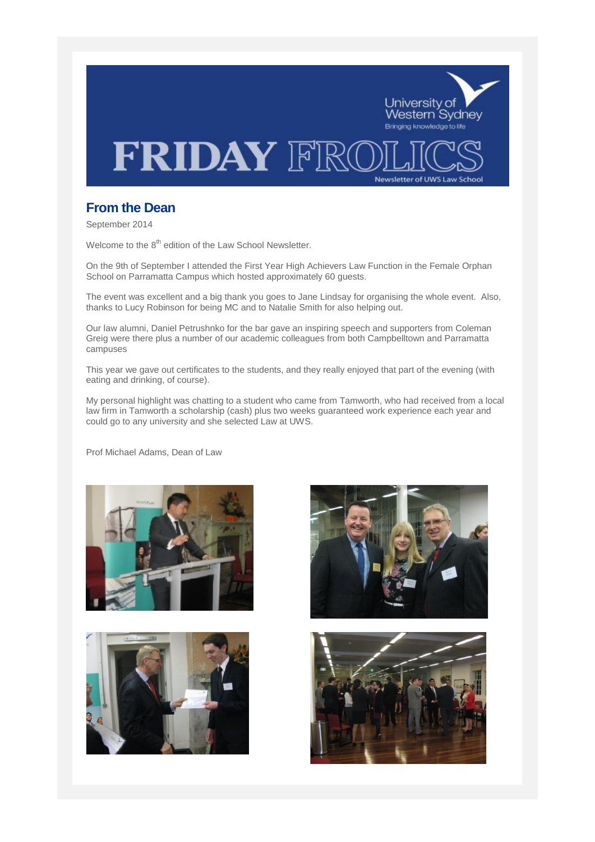

# **From the Dean**

September 2014

Welcome to the 8<sup>th</sup> edition of the Law School Newsletter.

On the 9th of September I attended the First Year High Achievers Law Function in the Female Orphan School on Parramatta Campus which hosted approximately 60 guests.

The event was excellent and a big thank you goes to Jane Lindsay for organising the whole event. Also, thanks to Lucy Robinson for being MC and to Natalie Smith for also helping out.

Our law alumni, Daniel Petrushnko for the bar gave an inspiring speech and supporters from Coleman Greig were there plus a number of our academic colleagues from both Campbelltown and Parramatta campuses

This year we gave out certificates to the students, and they really enjoyed that part of the evening (with eating and drinking, of course).

My personal highlight was chatting to a student who came from Tamworth, who had received from a local law firm in Tamworth a scholarship (cash) plus two weeks guaranteed work experience each year and could go to any university and she selected Law at UWS.

Prof Michael Adams, Dean of Law







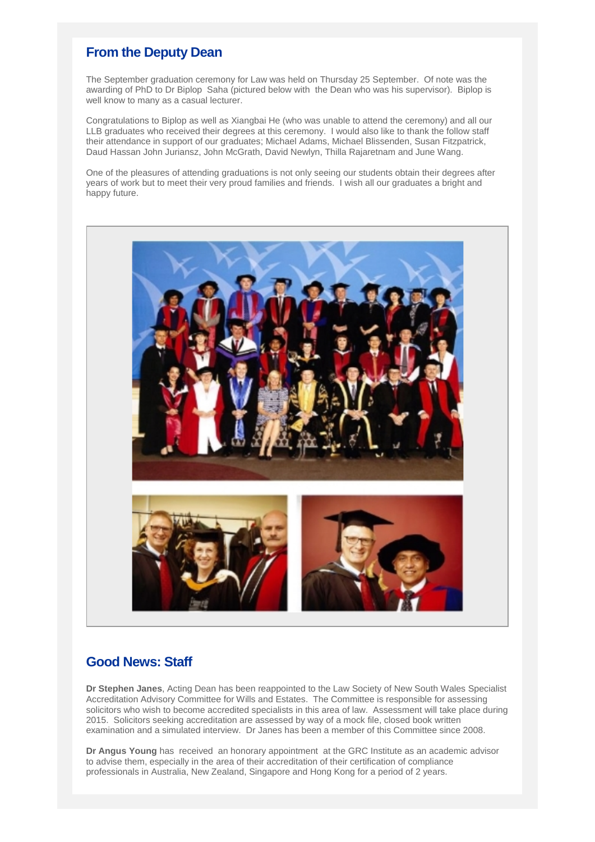# **From the Deputy Dean**

The September graduation ceremony for Law was held on Thursday 25 September. Of note was the awarding of PhD to Dr Biplop Saha (pictured below with the Dean who was his supervisor). Biplop is well know to many as a casual lecturer.

Congratulations to Biplop as well as Xiangbai He (who was unable to attend the ceremony) and all our LLB graduates who received their degrees at this ceremony. I would also like to thank the follow staff their attendance in support of our graduates; Michael Adams, Michael Blissenden, Susan Fitzpatrick, Daud Hassan John Juriansz, John McGrath, David Newlyn, Thilla Rajaretnam and June Wang.

One of the pleasures of attending graduations is not only seeing our students obtain their degrees after years of work but to meet their very proud families and friends. I wish all our graduates a bright and happy future.



# **Good News: Staff**

**Dr Stephen Janes**, Acting Dean has been reappointed to the Law Society of New South Wales Specialist Accreditation Advisory Committee for Wills and Estates. The Committee is responsible for assessing solicitors who wish to become accredited specialists in this area of law. Assessment will take place during 2015. Solicitors seeking accreditation are assessed by way of a mock file, closed book written examination and a simulated interview. Dr Janes has been a member of this Committee since 2008.

**Dr Angus Young** has received an honorary appointment at the GRC Institute as an academic advisor to advise them, especially in the area of their accreditation of their certification of compliance professionals in Australia, New Zealand, Singapore and Hong Kong for a period of 2 years.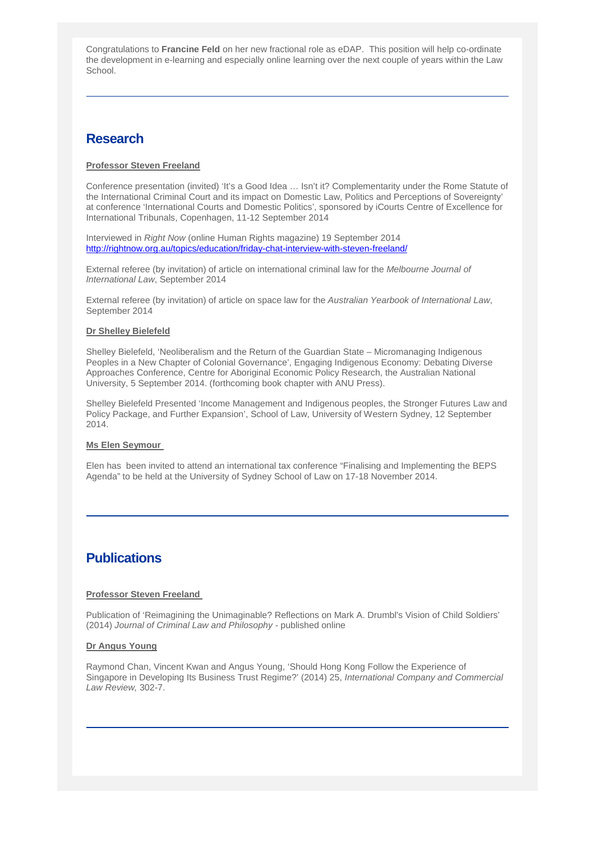Congratulations to **Francine Feld** on her new fractional role as eDAP. This position will help co-ordinate the development in e-learning and especially online learning over the next couple of years within the Law School.

# **Research**

## **Professor Steven Freeland**

Conference presentation (invited) 'It's a Good Idea … Isn't it? Complementarity under the Rome Statute of the International Criminal Court and its impact on Domestic Law, Politics and Perceptions of Sovereignty' at conference 'International Courts and Domestic Politics', sponsored by iCourts Centre of Excellence for International Tribunals, Copenhagen, 11-12 September 2014

Interviewed in *Right Now* (online Human Rights magazine) 19 September 2014 <http://rightnow.org.au/topics/education/friday-chat-interview-with-steven-freeland/>

External referee (by invitation) of article on international criminal law for the *Melbourne Journal of International Law*, September 2014

External referee (by invitation) of article on space law for the *Australian Yearbook of International Law*, September 2014

### **Dr Shelley Bielefeld**

Shelley Bielefeld, 'Neoliberalism and the Return of the Guardian State – Micromanaging Indigenous Peoples in a New Chapter of Colonial Governance', Engaging Indigenous Economy: Debating Diverse Approaches Conference, Centre for Aboriginal Economic Policy Research, the Australian National University, 5 September 2014. (forthcoming book chapter with ANU Press).

Shelley Bielefeld Presented 'Income Management and Indigenous peoples, the Stronger Futures Law and Policy Package, and Further Expansion', School of Law, University of Western Sydney, 12 September 2014.

### **Ms Elen Seymour**

Elen has been invited to attend an international tax conference "Finalising and Implementing the BEPS Agenda" to be held at the University of Sydney School of Law on 17-18 November 2014.

## **Publications**

## **Professor Steven Freeland**

Publication of 'Reimagining the Unimaginable? Reflections on Mark A. Drumbl's Vision of Child Soldiers' (2014) *Journal of Criminal Law and Philosophy -* published online

### **Dr Angus Young**

Raymond Chan, Vincent Kwan and Angus Young, 'Should Hong Kong Follow the Experience of Singapore in Developing Its Business Trust Regime?' (2014) 25, *International Company and Commercial Law Review,* 302-7.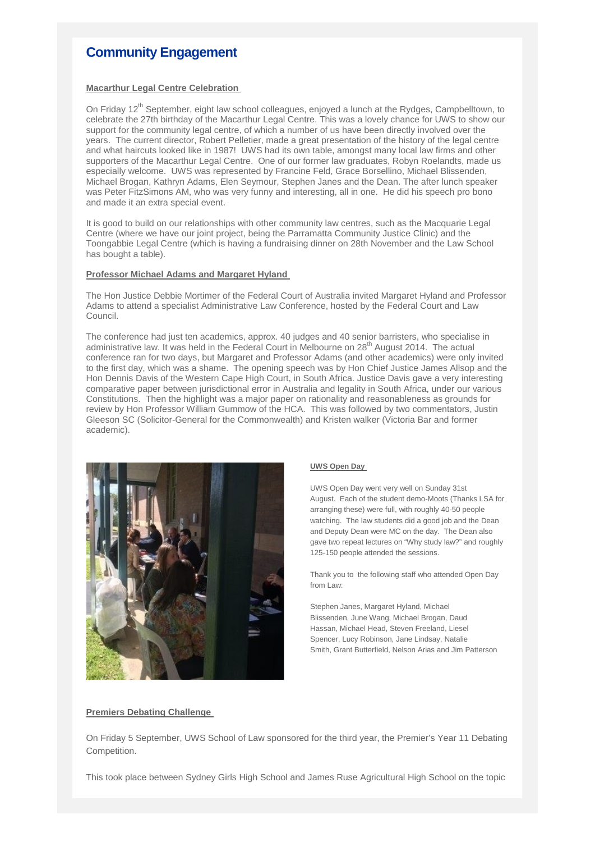# **Community Engagement**

### **Macarthur Legal Centre Celebration**

On Friday 12<sup>th</sup> September, eight law school colleagues, enjoyed a lunch at the Rydges, Campbelltown, to celebrate the 27th birthday of the Macarthur Legal Centre. This was a lovely chance for UWS to show our support for the community legal centre, of which a number of us have been directly involved over the years. The current director, Robert Pelletier, made a great presentation of the history of the legal centre and what haircuts looked like in 1987! UWS had its own table, amongst many local law firms and other supporters of the Macarthur Legal Centre. One of our former law graduates, Robyn Roelandts, made us especially welcome. UWS was represented by Francine Feld, Grace Borsellino, Michael Blissenden, Michael Brogan, Kathryn Adams, Elen Seymour, Stephen Janes and the Dean. The after lunch speaker was Peter FitzSimons AM, who was very funny and interesting, all in one. He did his speech pro bono and made it an extra special event.

It is good to build on our relationships with other community law centres, such as the Macquarie Legal Centre (where we have our joint project, being the Parramatta Community Justice Clinic) and the Toongabbie Legal Centre (which is having a fundraising dinner on 28th November and the Law School has bought a table).

### **Professor Michael Adams and Margaret Hyland**

The Hon Justice Debbie Mortimer of the Federal Court of Australia invited Margaret Hyland and Professor Adams to attend a specialist Administrative Law Conference, hosted by the Federal Court and Law Council.

The conference had just ten academics, approx. 40 judges and 40 senior barristers, who specialise in administrative law. It was held in the Federal Court in Melbourne on 28<sup>th</sup> August 2014. The actual conference ran for two days, but Margaret and Professor Adams (and other academics) were only invited to the first day, which was a shame. The opening speech was by Hon Chief Justice James Allsop and the Hon Dennis Davis of the Western Cape High Court, in South Africa. Justice Davis gave a very interesting comparative paper between jurisdictional error in Australia and legality in South Africa, under our various Constitutions. Then the highlight was a major paper on rationality and reasonableness as grounds for review by Hon Professor William Gummow of the HCA. This was followed by two commentators, Justin Gleeson SC (Solicitor-General for the Commonwealth) and Kristen walker (Victoria Bar and former academic).



#### **UWS Open Day**

UWS Open Day went very well on Sunday 31st August. Each of the student demo-Moots (Thanks LSA for arranging these) were full, with roughly 40-50 people watching. The law students did a good job and the Dean and Deputy Dean were MC on the day. The Dean also gave two repeat lectures on "Why study law?" and roughly 125-150 people attended the sessions.

Thank you to the following staff who attended Open Day from Law:

Stephen Janes, Margaret Hyland, Michael Blissenden, June Wang, Michael Brogan, Daud Hassan, Michael Head, Steven Freeland, Liesel Spencer, Lucy Robinson, Jane Lindsay, Natalie Smith, Grant Butterfield, Nelson Arias and Jim Patterson

#### **Premiers Debating Challenge**

On Friday 5 September, UWS School of Law sponsored for the third year, the Premier's Year 11 Debating Competition.

This took place between Sydney Girls High School and James Ruse Agricultural High School on the topic